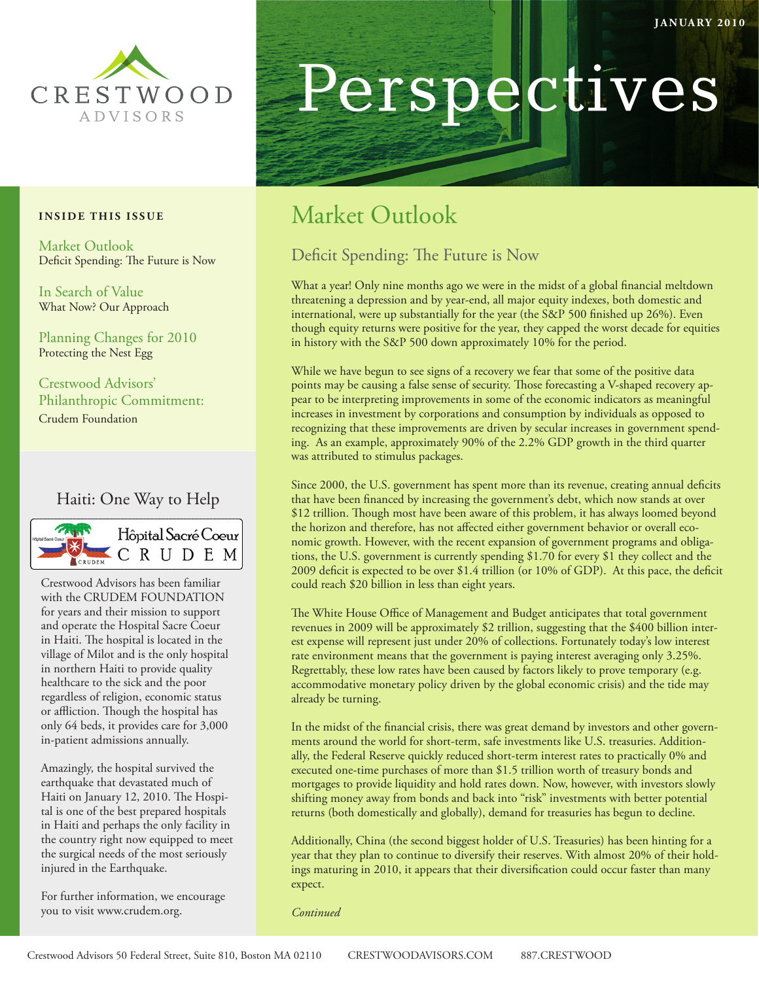

#### **INSIDE THIS ISSUE**

Market Outlook Deficit Spending: The Future is Now

In Search of Value What Now? Our Approach

Planning Changes for 2010 Protecting the Nest Egg

Crestwood Advisors' Philanthropic Commitment: Crudem Foundation

### Haiti: One Way to Help



Crestwood Advisors has been familiar with the CRUDEM FOUNDATION for years and their mission to support and operate the Hospital Sacre Coeur in Haiti. The hospital is located in the village of Milot and is the only hospital in northern Haiti to provide quality healthcare to the sick and the poor regardless of religion, economic status or affliction. Though the hospital has only 64 beds, it provides care for 3,000 in-patient admissions annually.

Amazingly, the hospital survived the earthquake that devastated much of Haiti on January 12, 2010. The Hospital is one of the best prepared hospitals in Haiti and perhaps the only facility in the country right now equipped to meet the surgical needs of the most seriously injured in the Earthquake.

For further information, we encourage you to visit www.crudem.org.

# Perspectives

## Market Outlook

## Deficit Spending: The Future is Now

What a year! Only nine months ago we were in the midst of a global financial meltdown threatening a depression and by year-end, all major equity indexes, both domestic and international, were up substantially for the year (the S&P 500 finished up 26%). Even though equity returns were positive for the year, they capped the worst decade for equities in history with the S&P 500 down approximately 10% for the period.

While we have begun to see signs of a recovery we fear that some of the positive data points may be causing a false sense of security. Those forecasting a V-shaped recovery appear to be interpreting improvements in some of the economic indicators as meaningful increases in investment by corporations and consumption by individuals as opposed to recognizing that these improvements are driven by secular increases in government spending. As an example, approximately 90% of the 2.2% GDP growth in the third quarter was attributed to stimulus packages.

Since 2000, the U.S. government has spent more than its revenue, creating annual deficits that have been financed by increasing the government's debt, which now stands at over \$12 trillion. Though most have been aware of this problem, it has always loomed beyond the horizon and therefore, has not affected either government behavior or overall economic growth. However, with the recent expansion of government programs and obligations, the U.S. government is currently spending \$1.70 for every \$1 they collect and the 2009 deficit is expected to be over \$1.4 trillion (or 10% of GDP). At this pace, the deficit could reach \$20 billion in less than eight years.

The White House Office of Management and Budget anticipates that total government revenues in 2009 will be approximately \$2 trillion, suggesting that the \$400 billion interest expense will represent just under 20% of collections. Fortunately today's low interest rate environment means that the government is paying interest averaging only 3.25%. Regrettably, these low rates have been caused by factors likely to prove temporary (e.g. accommodative monetary policy driven by the global economic crisis) and the tide may already be turning.

In the midst of the financial crisis, there was great demand by investors and other governments around the world for short-term, safe investments like U.S. treasuries. Additionally, the Federal Reserve quickly reduced short-term interest rates to practically 0% and executed one-time purchases of more than \$1.5 trillion worth of treasury bonds and mortgages to provide liquidity and hold rates down. Now, however, with investors slowly shifting money away from bonds and back into "risk" investments with better potential returns (both domestically and globally), demand for treasuries has begun to decline.

Additionally, China (the second biggest holder of U.S. Treasuries) has been hinting for a year that they plan to continue to diversify their reserves. With almost 20% of their holdings maturing in 2010, it appears that their diversification could occur faster than many expect.

*Continued*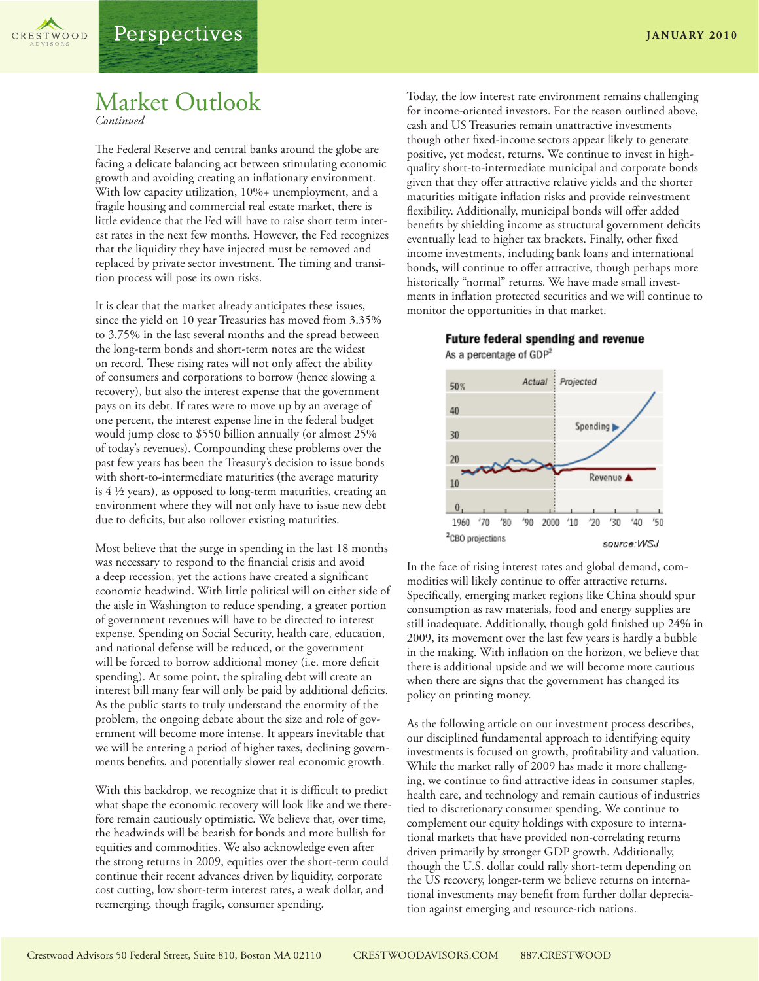

## Market Outlook

*Continued*

The Federal Reserve and central banks around the globe are facing a delicate balancing act between stimulating economic growth and avoiding creating an inflationary environment. With low capacity utilization, 10%+ unemployment, and a fragile housing and commercial real estate market, there is little evidence that the Fed will have to raise short term interest rates in the next few months. However, the Fed recognizes that the liquidity they have injected must be removed and replaced by private sector investment. The timing and transition process will pose its own risks.

It is clear that the market already anticipates these issues, since the yield on 10 year Treasuries has moved from 3.35% to 3.75% in the last several months and the spread between the long-term bonds and short-term notes are the widest on record. These rising rates will not only affect the ability of consumers and corporations to borrow (hence slowing a recovery), but also the interest expense that the government pays on its debt. If rates were to move up by an average of one percent, the interest expense line in the federal budget would jump close to \$550 billion annually (or almost 25% of today's revenues). Compounding these problems over the past few years has been the Treasury's decision to issue bonds with short-to-intermediate maturities (the average maturity is 4 ½ years), as opposed to long-term maturities, creating an environment where they will not only have to issue new debt due to deficits, but also rollover existing maturities.

Most believe that the surge in spending in the last 18 months was necessary to respond to the financial crisis and avoid a deep recession, yet the actions have created a significant economic headwind. With little political will on either side of the aisle in Washington to reduce spending, a greater portion of government revenues will have to be directed to interest expense. Spending on Social Security, health care, education, and national defense will be reduced, or the government will be forced to borrow additional money (i.e. more deficit spending). At some point, the spiraling debt will create an interest bill many fear will only be paid by additional deficits. As the public starts to truly understand the enormity of the problem, the ongoing debate about the size and role of government will become more intense. It appears inevitable that we will be entering a period of higher taxes, declining governments benefits, and potentially slower real economic growth.

With this backdrop, we recognize that it is difficult to predict what shape the economic recovery will look like and we therefore remain cautiously optimistic. We believe that, over time, the headwinds will be bearish for bonds and more bullish for equities and commodities. We also acknowledge even after the strong returns in 2009, equities over the short-term could continue their recent advances driven by liquidity, corporate cost cutting, low short-term interest rates, a weak dollar, and reemerging, though fragile, consumer spending.

Today, the low interest rate environment remains challenging for income-oriented investors. For the reason outlined above, cash and US Treasuries remain unattractive investments though other fixed-income sectors appear likely to generate positive, yet modest, returns. We continue to invest in highquality short-to-intermediate municipal and corporate bonds given that they offer attractive relative yields and the shorter maturities mitigate inflation risks and provide reinvestment flexibility. Additionally, municipal bonds will offer added benefits by shielding income as structural government deficits eventually lead to higher tax brackets. Finally, other fixed income investments, including bank loans and international bonds, will continue to offer attractive, though perhaps more historically "normal" returns. We have made small investments in inflation protected securities and we will continue to monitor the opportunities in that market.





In the face of rising interest rates and global demand, commodities will likely continue to offer attractive returns. Specifically, emerging market regions like China should spur consumption as raw materials, food and energy supplies are still inadequate. Additionally, though gold finished up 24% in 2009, its movement over the last few years is hardly a bubble in the making. With inflation on the horizon, we believe that there is additional upside and we will become more cautious when there are signs that the government has changed its policy on printing money.

As the following article on our investment process describes, our disciplined fundamental approach to identifying equity investments is focused on growth, profitability and valuation. While the market rally of 2009 has made it more challenging, we continue to find attractive ideas in consumer staples, health care, and technology and remain cautious of industries tied to discretionary consumer spending. We continue to complement our equity holdings with exposure to international markets that have provided non-correlating returns driven primarily by stronger GDP growth. Additionally, though the U.S. dollar could rally short-term depending on the US recovery, longer-term we believe returns on international investments may benefit from further dollar depreciation against emerging and resource-rich nations.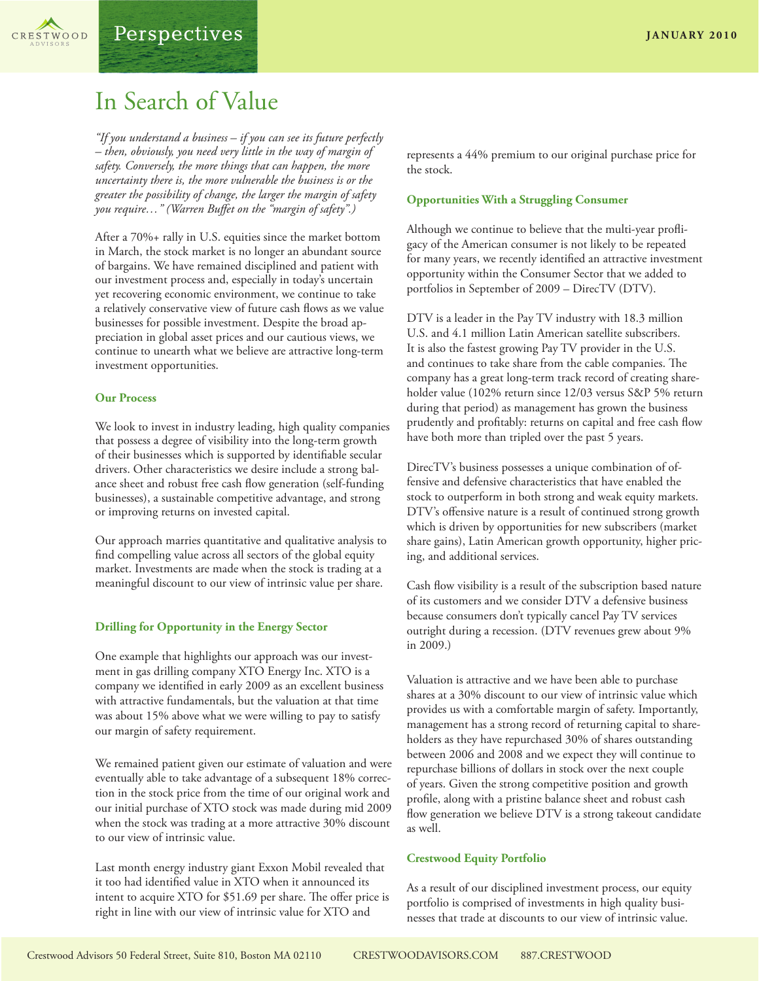

## In Search of Value

*"If you understand a business – if you can see its future perfectly – then, obviously, you need very little in the way of margin of safety. Conversely, the more things that can happen, the more uncertainty there is, the more vulnerable the business is or the greater the possibility of change, the larger the margin of safety you require…" (Warren Buffet on the "margin of safety".)*

After a 70%+ rally in U.S. equities since the market bottom in March, the stock market is no longer an abundant source of bargains. We have remained disciplined and patient with our investment process and, especially in today's uncertain yet recovering economic environment, we continue to take a relatively conservative view of future cash flows as we value businesses for possible investment. Despite the broad appreciation in global asset prices and our cautious views, we continue to unearth what we believe are attractive long-term investment opportunities.

#### **Our Process**

We look to invest in industry leading, high quality companies that possess a degree of visibility into the long-term growth of their businesses which is supported by identifiable secular drivers. Other characteristics we desire include a strong balance sheet and robust free cash flow generation (self-funding businesses), a sustainable competitive advantage, and strong or improving returns on invested capital.

Our approach marries quantitative and qualitative analysis to find compelling value across all sectors of the global equity market. Investments are made when the stock is trading at a meaningful discount to our view of intrinsic value per share.

#### **Drilling for Opportunity in the Energy Sector**

One example that highlights our approach was our investment in gas drilling company XTO Energy Inc. XTO is a company we identified in early 2009 as an excellent business with attractive fundamentals, but the valuation at that time was about 15% above what we were willing to pay to satisfy our margin of safety requirement.

We remained patient given our estimate of valuation and were eventually able to take advantage of a subsequent 18% correction in the stock price from the time of our original work and our initial purchase of XTO stock was made during mid 2009 when the stock was trading at a more attractive 30% discount to our view of intrinsic value.

Last month energy industry giant Exxon Mobil revealed that it too had identified value in XTO when it announced its intent to acquire XTO for \$51.69 per share. The offer price is right in line with our view of intrinsic value for XTO and

represents a 44% premium to our original purchase price for the stock.

#### **Opportunities With a Struggling Consumer**

Although we continue to believe that the multi-year profligacy of the American consumer is not likely to be repeated for many years, we recently identified an attractive investment opportunity within the Consumer Sector that we added to portfolios in September of 2009 – DirecTV (DTV).

DTV is a leader in the Pay TV industry with 18.3 million U.S. and 4.1 million Latin American satellite subscribers. It is also the fastest growing Pay TV provider in the U.S. and continues to take share from the cable companies. The company has a great long-term track record of creating shareholder value (102% return since 12/03 versus S&P 5% return during that period) as management has grown the business prudently and profitably: returns on capital and free cash flow have both more than tripled over the past 5 years.

DirecTV's business possesses a unique combination of offensive and defensive characteristics that have enabled the stock to outperform in both strong and weak equity markets. DTV's offensive nature is a result of continued strong growth which is driven by opportunities for new subscribers (market share gains), Latin American growth opportunity, higher pricing, and additional services.

Cash flow visibility is a result of the subscription based nature of its customers and we consider DTV a defensive business because consumers don't typically cancel Pay TV services outright during a recession. (DTV revenues grew about 9% in 2009.)

Valuation is attractive and we have been able to purchase shares at a 30% discount to our view of intrinsic value which provides us with a comfortable margin of safety. Importantly, management has a strong record of returning capital to shareholders as they have repurchased 30% of shares outstanding between 2006 and 2008 and we expect they will continue to repurchase billions of dollars in stock over the next couple of years. Given the strong competitive position and growth profile, along with a pristine balance sheet and robust cash flow generation we believe DTV is a strong takeout candidate as well.

#### **Crestwood Equity Portfolio**

As a result of our disciplined investment process, our equity portfolio is comprised of investments in high quality businesses that trade at discounts to our view of intrinsic value.